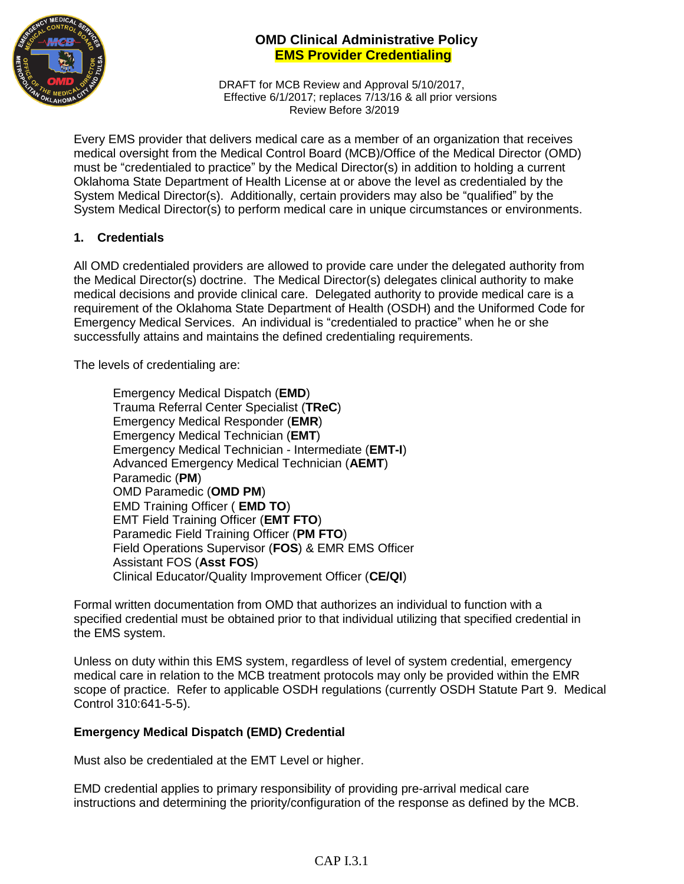

DRAFT for MCB Review and Approval 5/10/2017, Effective 6/1/2017; replaces 7/13/16 & all prior versions Review Before 3/2019

Every EMS provider that delivers medical care as a member of an organization that receives medical oversight from the Medical Control Board (MCB)/Office of the Medical Director (OMD) must be "credentialed to practice" by the Medical Director(s) in addition to holding a current Oklahoma State Department of Health License at or above the level as credentialed by the System Medical Director(s). Additionally, certain providers may also be "qualified" by the System Medical Director(s) to perform medical care in unique circumstances or environments.

#### **1. Credentials**

All OMD credentialed providers are allowed to provide care under the delegated authority from the Medical Director(s) doctrine. The Medical Director(s) delegates clinical authority to make medical decisions and provide clinical care. Delegated authority to provide medical care is a requirement of the Oklahoma State Department of Health (OSDH) and the Uniformed Code for Emergency Medical Services. An individual is "credentialed to practice" when he or she successfully attains and maintains the defined credentialing requirements.

The levels of credentialing are:

Emergency Medical Dispatch (**EMD**) Trauma Referral Center Specialist (**TReC**) Emergency Medical Responder (**EMR**) Emergency Medical Technician (**EMT**) Emergency Medical Technician - Intermediate (**EMT-I**) Advanced Emergency Medical Technician (**AEMT**) Paramedic (**PM**) OMD Paramedic (**OMD PM**) EMD Training Officer ( **EMD TO**) EMT Field Training Officer (**EMT FTO**) Paramedic Field Training Officer (**PM FTO**) Field Operations Supervisor (**FOS**) & EMR EMS Officer Assistant FOS (**Asst FOS**) Clinical Educator/Quality Improvement Officer (**CE/QI**)

Formal written documentation from OMD that authorizes an individual to function with a specified credential must be obtained prior to that individual utilizing that specified credential in the EMS system.

Unless on duty within this EMS system, regardless of level of system credential, emergency medical care in relation to the MCB treatment protocols may only be provided within the EMR scope of practice. Refer to applicable OSDH regulations (currently OSDH Statute Part 9. Medical Control 310:641-5-5).

## **Emergency Medical Dispatch (EMD) Credential**

Must also be credentialed at the EMT Level or higher.

EMD credential applies to primary responsibility of providing pre-arrival medical care instructions and determining the priority/configuration of the response as defined by the MCB.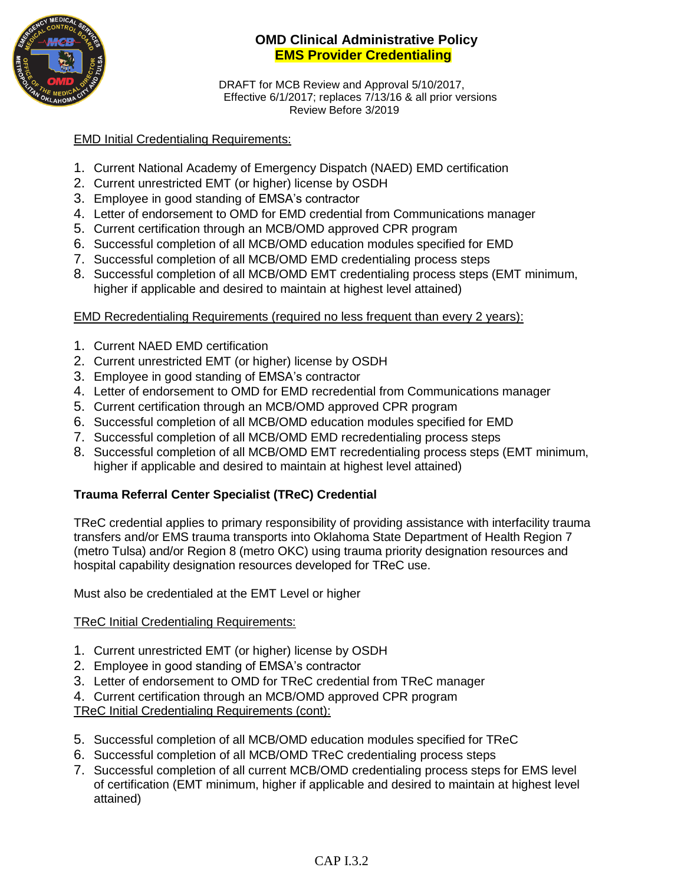

DRAFT for MCB Review and Approval 5/10/2017, Effective 6/1/2017; replaces 7/13/16 & all prior versions Review Before 3/2019

#### EMD Initial Credentialing Requirements:

- 1. Current National Academy of Emergency Dispatch (NAED) EMD certification
- 2. Current unrestricted EMT (or higher) license by OSDH
- 3. Employee in good standing of EMSA's contractor
- 4. Letter of endorsement to OMD for EMD credential from Communications manager
- 5. Current certification through an MCB/OMD approved CPR program
- 6. Successful completion of all MCB/OMD education modules specified for EMD
- 7. Successful completion of all MCB/OMD EMD credentialing process steps
- 8. Successful completion of all MCB/OMD EMT credentialing process steps (EMT minimum, higher if applicable and desired to maintain at highest level attained)

#### EMD Recredentialing Requirements (required no less frequent than every 2 years):

- 1. Current NAED EMD certification
- 2. Current unrestricted EMT (or higher) license by OSDH
- 3. Employee in good standing of EMSA's contractor
- 4. Letter of endorsement to OMD for EMD recredential from Communications manager
- 5. Current certification through an MCB/OMD approved CPR program
- 6. Successful completion of all MCB/OMD education modules specified for EMD
- 7. Successful completion of all MCB/OMD EMD recredentialing process steps
- 8. Successful completion of all MCB/OMD EMT recredentialing process steps (EMT minimum, higher if applicable and desired to maintain at highest level attained)

## **Trauma Referral Center Specialist (TReC) Credential**

TReC credential applies to primary responsibility of providing assistance with interfacility trauma transfers and/or EMS trauma transports into Oklahoma State Department of Health Region 7 (metro Tulsa) and/or Region 8 (metro OKC) using trauma priority designation resources and hospital capability designation resources developed for TReC use.

Must also be credentialed at the EMT Level or higher

#### TReC Initial Credentialing Requirements:

- 1. Current unrestricted EMT (or higher) license by OSDH
- 2. Employee in good standing of EMSA's contractor
- 3. Letter of endorsement to OMD for TReC credential from TReC manager
- 4. Current certification through an MCB/OMD approved CPR program

#### TReC Initial Credentialing Requirements (cont):

- 5. Successful completion of all MCB/OMD education modules specified for TReC
- 6. Successful completion of all MCB/OMD TReC credentialing process steps
- 7. Successful completion of all current MCB/OMD credentialing process steps for EMS level of certification (EMT minimum, higher if applicable and desired to maintain at highest level attained)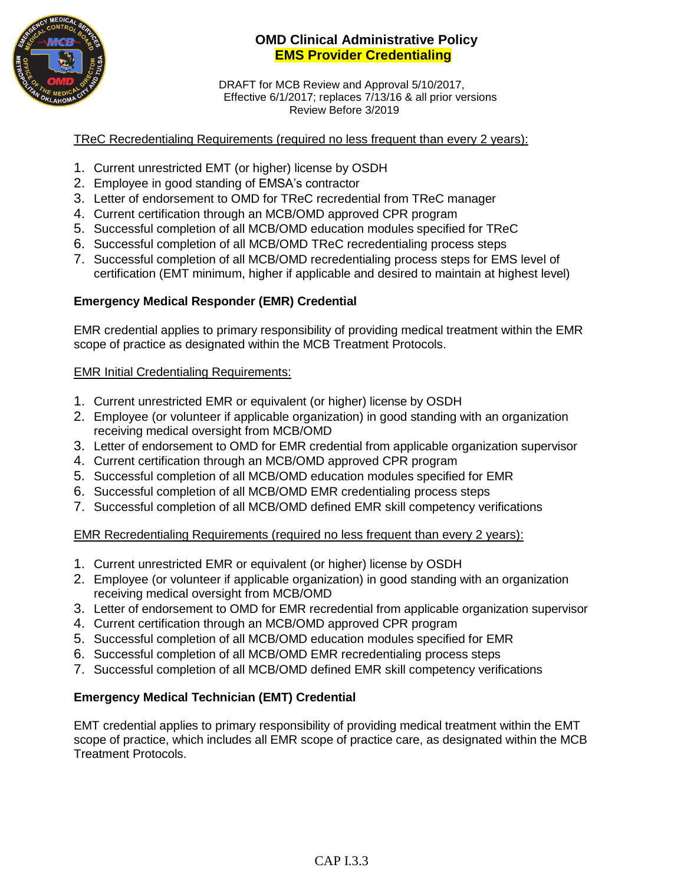

DRAFT for MCB Review and Approval 5/10/2017, Effective 6/1/2017; replaces 7/13/16 & all prior versions Review Before 3/2019

#### TReC Recredentialing Requirements (required no less frequent than every 2 years):

- 1. Current unrestricted EMT (or higher) license by OSDH
- 2. Employee in good standing of EMSA's contractor
- 3. Letter of endorsement to OMD for TReC recredential from TReC manager
- 4. Current certification through an MCB/OMD approved CPR program
- 5. Successful completion of all MCB/OMD education modules specified for TReC
- 6. Successful completion of all MCB/OMD TReC recredentialing process steps
- 7. Successful completion of all MCB/OMD recredentialing process steps for EMS level of certification (EMT minimum, higher if applicable and desired to maintain at highest level)

# **Emergency Medical Responder (EMR) Credential**

EMR credential applies to primary responsibility of providing medical treatment within the EMR scope of practice as designated within the MCB Treatment Protocols.

## EMR Initial Credentialing Requirements:

- 1. Current unrestricted EMR or equivalent (or higher) license by OSDH
- 2. Employee (or volunteer if applicable organization) in good standing with an organization receiving medical oversight from MCB/OMD
- 3. Letter of endorsement to OMD for EMR credential from applicable organization supervisor
- 4. Current certification through an MCB/OMD approved CPR program
- 5. Successful completion of all MCB/OMD education modules specified for EMR
- 6. Successful completion of all MCB/OMD EMR credentialing process steps
- 7. Successful completion of all MCB/OMD defined EMR skill competency verifications

EMR Recredentialing Requirements (required no less frequent than every 2 years):

- 1. Current unrestricted EMR or equivalent (or higher) license by OSDH
- 2. Employee (or volunteer if applicable organization) in good standing with an organization receiving medical oversight from MCB/OMD
- 3. Letter of endorsement to OMD for EMR recredential from applicable organization supervisor
- 4. Current certification through an MCB/OMD approved CPR program
- 5. Successful completion of all MCB/OMD education modules specified for EMR
- 6. Successful completion of all MCB/OMD EMR recredentialing process steps
- 7. Successful completion of all MCB/OMD defined EMR skill competency verifications

# **Emergency Medical Technician (EMT) Credential**

EMT credential applies to primary responsibility of providing medical treatment within the EMT scope of practice, which includes all EMR scope of practice care, as designated within the MCB Treatment Protocols.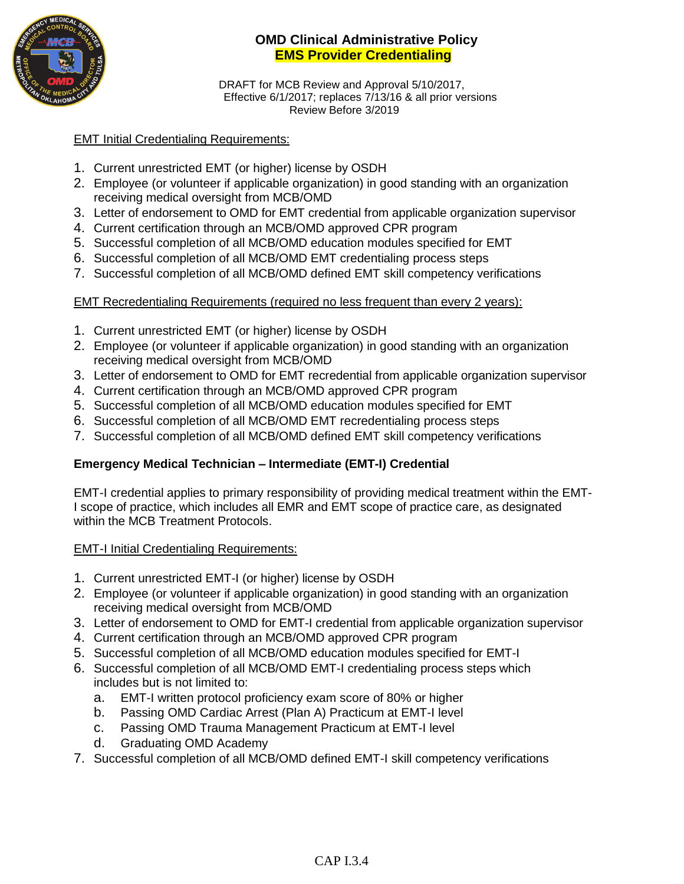

DRAFT for MCB Review and Approval 5/10/2017, Effective 6/1/2017; replaces 7/13/16 & all prior versions Review Before 3/2019

#### EMT Initial Credentialing Requirements:

- 1. Current unrestricted EMT (or higher) license by OSDH
- 2. Employee (or volunteer if applicable organization) in good standing with an organization receiving medical oversight from MCB/OMD
- 3. Letter of endorsement to OMD for EMT credential from applicable organization supervisor
- 4. Current certification through an MCB/OMD approved CPR program
- 5. Successful completion of all MCB/OMD education modules specified for EMT
- 6. Successful completion of all MCB/OMD EMT credentialing process steps
- 7. Successful completion of all MCB/OMD defined EMT skill competency verifications

#### EMT Recredentialing Requirements (required no less frequent than every 2 years):

- 1. Current unrestricted EMT (or higher) license by OSDH
- 2. Employee (or volunteer if applicable organization) in good standing with an organization receiving medical oversight from MCB/OMD
- 3. Letter of endorsement to OMD for EMT recredential from applicable organization supervisor
- 4. Current certification through an MCB/OMD approved CPR program
- 5. Successful completion of all MCB/OMD education modules specified for EMT
- 6. Successful completion of all MCB/OMD EMT recredentialing process steps
- 7. Successful completion of all MCB/OMD defined EMT skill competency verifications

## **Emergency Medical Technician – Intermediate (EMT-I) Credential**

EMT-I credential applies to primary responsibility of providing medical treatment within the EMT-I scope of practice, which includes all EMR and EMT scope of practice care, as designated within the MCB Treatment Protocols.

#### EMT-I Initial Credentialing Requirements:

- 1. Current unrestricted EMT-I (or higher) license by OSDH
- 2. Employee (or volunteer if applicable organization) in good standing with an organization receiving medical oversight from MCB/OMD
- 3. Letter of endorsement to OMD for EMT-I credential from applicable organization supervisor
- 4. Current certification through an MCB/OMD approved CPR program
- 5. Successful completion of all MCB/OMD education modules specified for EMT-I
- 6. Successful completion of all MCB/OMD EMT-I credentialing process steps which includes but is not limited to:
	- a. EMT-I written protocol proficiency exam score of 80% or higher
	- b. Passing OMD Cardiac Arrest (Plan A) Practicum at EMT-I level
	- c. Passing OMD Trauma Management Practicum at EMT-I level
	- d. Graduating OMD Academy
- 7. Successful completion of all MCB/OMD defined EMT-I skill competency verifications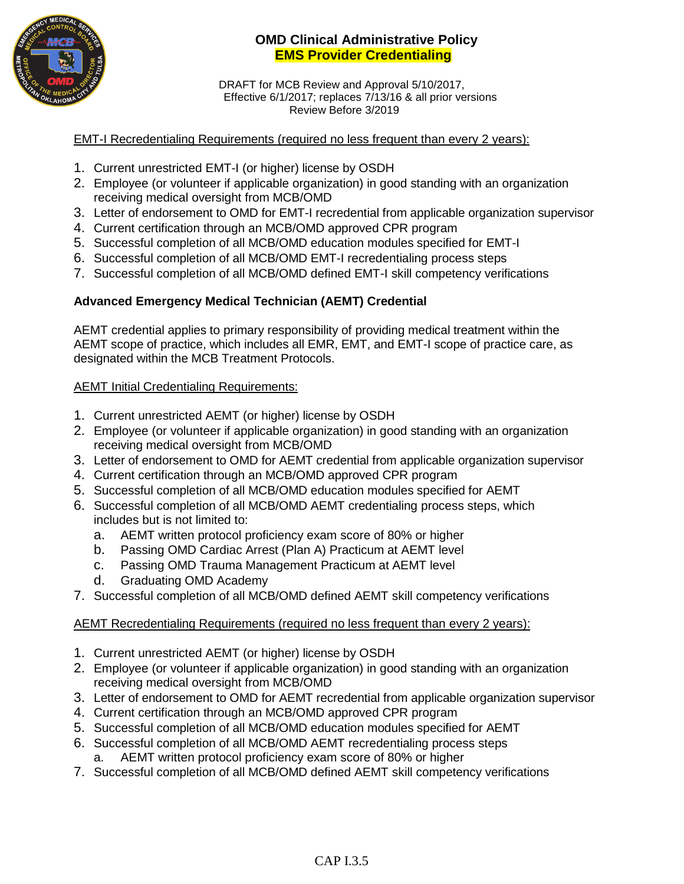

DRAFT for MCB Review and Approval 5/10/2017, Effective 6/1/2017; replaces 7/13/16 & all prior versions Review Before 3/2019

#### EMT-I Recredentialing Requirements (required no less frequent than every 2 years):

- 1. Current unrestricted EMT-I (or higher) license by OSDH
- 2. Employee (or volunteer if applicable organization) in good standing with an organization receiving medical oversight from MCB/OMD
- 3. Letter of endorsement to OMD for EMT-I recredential from applicable organization supervisor
- 4. Current certification through an MCB/OMD approved CPR program
- 5. Successful completion of all MCB/OMD education modules specified for EMT-I
- 6. Successful completion of all MCB/OMD EMT-I recredentialing process steps
- 7. Successful completion of all MCB/OMD defined EMT-I skill competency verifications

# **Advanced Emergency Medical Technician (AEMT) Credential**

AEMT credential applies to primary responsibility of providing medical treatment within the AEMT scope of practice, which includes all EMR, EMT, and EMT-I scope of practice care, as designated within the MCB Treatment Protocols.

## **AEMT Initial Credentialing Requirements:**

- 1. Current unrestricted AEMT (or higher) license by OSDH
- 2. Employee (or volunteer if applicable organization) in good standing with an organization receiving medical oversight from MCB/OMD
- 3. Letter of endorsement to OMD for AEMT credential from applicable organization supervisor
- 4. Current certification through an MCB/OMD approved CPR program
- 5. Successful completion of all MCB/OMD education modules specified for AEMT
- 6. Successful completion of all MCB/OMD AEMT credentialing process steps, which includes but is not limited to:
	- a. AEMT written protocol proficiency exam score of 80% or higher
	- b. Passing OMD Cardiac Arrest (Plan A) Practicum at AEMT level
	- c. Passing OMD Trauma Management Practicum at AEMT level
	- d. Graduating OMD Academy
- 7. Successful completion of all MCB/OMD defined AEMT skill competency verifications

## AEMT Recredentialing Requirements (required no less frequent than every 2 years):

- 1. Current unrestricted AEMT (or higher) license by OSDH
- 2. Employee (or volunteer if applicable organization) in good standing with an organization receiving medical oversight from MCB/OMD
- 3. Letter of endorsement to OMD for AEMT recredential from applicable organization supervisor
- 4. Current certification through an MCB/OMD approved CPR program
- 5. Successful completion of all MCB/OMD education modules specified for AEMT
- 6. Successful completion of all MCB/OMD AEMT recredentialing process steps a. AEMT written protocol proficiency exam score of 80% or higher
- 7. Successful completion of all MCB/OMD defined AEMT skill competency verifications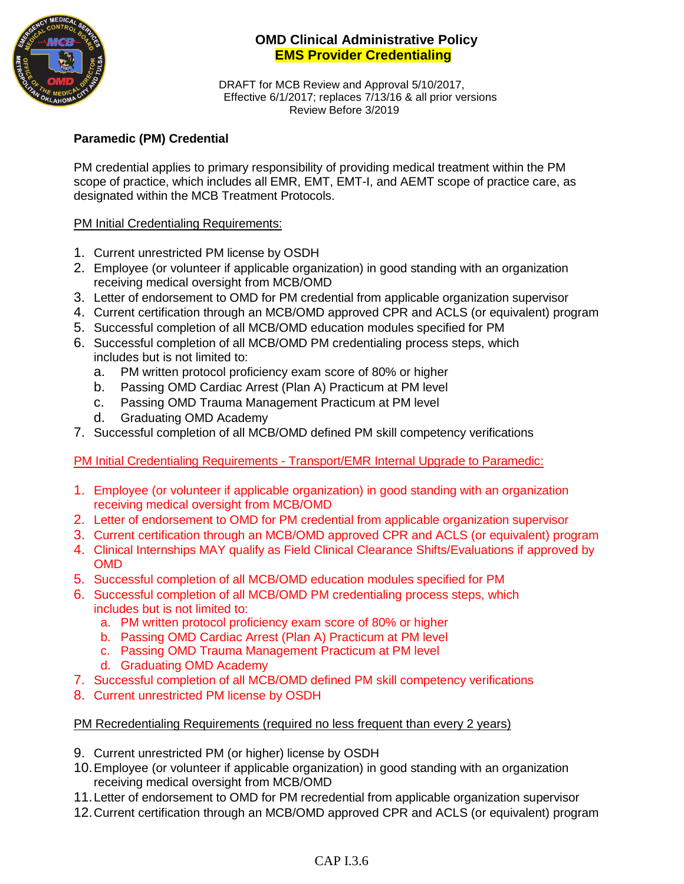

DRAFT for MCB Review and Approval 5/10/2017, Effective 6/1/2017; replaces 7/13/16 & all prior versions Review Before 3/2019

# **Paramedic (PM) Credential**

PM credential applies to primary responsibility of providing medical treatment within the PM scope of practice, which includes all EMR, EMT, EMT-I, and AEMT scope of practice care, as designated within the MCB Treatment Protocols.

## PM Initial Credentialing Requirements:

- 1. Current unrestricted PM license by OSDH
- 2. Employee (or volunteer if applicable organization) in good standing with an organization receiving medical oversight from MCB/OMD
- 3. Letter of endorsement to OMD for PM credential from applicable organization supervisor
- 4. Current certification through an MCB/OMD approved CPR and ACLS (or equivalent) program
- 5. Successful completion of all MCB/OMD education modules specified for PM
- 6. Successful completion of all MCB/OMD PM credentialing process steps, which includes but is not limited to:
	- a. PM written protocol proficiency exam score of 80% or higher
	- b. Passing OMD Cardiac Arrest (Plan A) Practicum at PM level
	- c. Passing OMD Trauma Management Practicum at PM level
	- d. Graduating OMD Academy
- 7. Successful completion of all MCB/OMD defined PM skill competency verifications

PM Initial Credentialing Requirements - Transport/EMR Internal Upgrade to Paramedic:

- 1. Employee (or volunteer if applicable organization) in good standing with an organization receiving medical oversight from MCB/OMD
- 2. Letter of endorsement to OMD for PM credential from applicable organization supervisor
- 3. Current certification through an MCB/OMD approved CPR and ACLS (or equivalent) program
- 4. Clinical Internships MAY qualify as Field Clinical Clearance Shifts/Evaluations if approved by OMD
- 5. Successful completion of all MCB/OMD education modules specified for PM
- 6. Successful completion of all MCB/OMD PM credentialing process steps, which includes but is not limited to:
	- a. PM written protocol proficiency exam score of 80% or higher
	- b. Passing OMD Cardiac Arrest (Plan A) Practicum at PM level
	- c. Passing OMD Trauma Management Practicum at PM level
	- d. Graduating OMD Academy
- 7. Successful completion of all MCB/OMD defined PM skill competency verifications
- 8. Current unrestricted PM license by OSDH

## PM Recredentialing Requirements (required no less frequent than every 2 years)

- 9. Current unrestricted PM (or higher) license by OSDH
- 10.Employee (or volunteer if applicable organization) in good standing with an organization receiving medical oversight from MCB/OMD
- 11.Letter of endorsement to OMD for PM recredential from applicable organization supervisor
- 12.Current certification through an MCB/OMD approved CPR and ACLS (or equivalent) program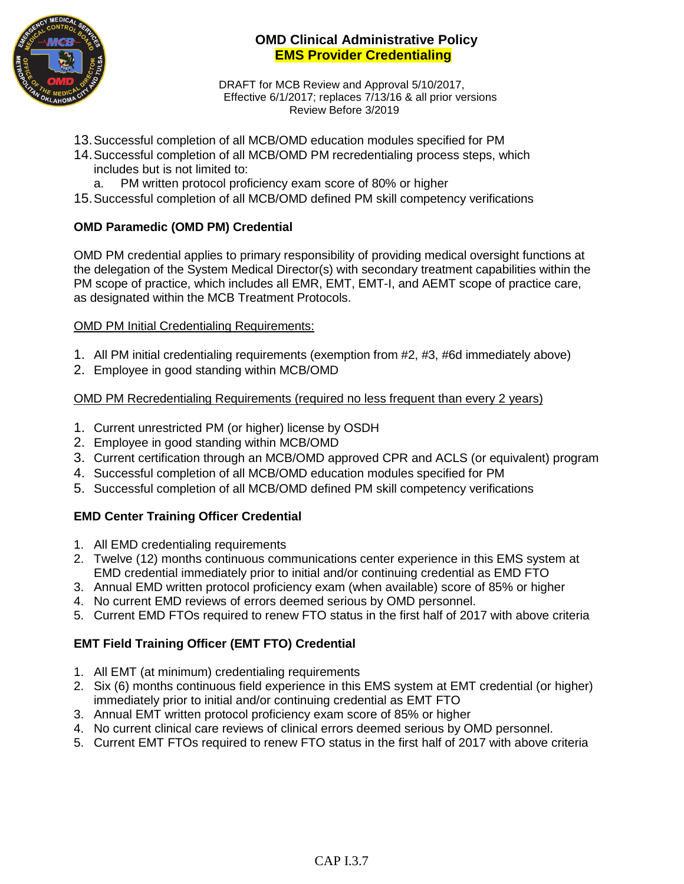

DRAFT for MCB Review and Approval 5/10/2017, Effective 6/1/2017; replaces 7/13/16 & all prior versions Review Before 3/2019

- 13.Successful completion of all MCB/OMD education modules specified for PM
- 14.Successful completion of all MCB/OMD PM recredentialing process steps, which includes but is not limited to:
	- a. PM written protocol proficiency exam score of 80% or higher
- 15.Successful completion of all MCB/OMD defined PM skill competency verifications

## **OMD Paramedic (OMD PM) Credential**

OMD PM credential applies to primary responsibility of providing medical oversight functions at the delegation of the System Medical Director(s) with secondary treatment capabilities within the PM scope of practice, which includes all EMR, EMT, EMT-I, and AEMT scope of practice care, as designated within the MCB Treatment Protocols.

#### OMD PM Initial Credentialing Requirements:

- 1. All PM initial credentialing requirements (exemption from #2, #3, #6d immediately above)
- 2. Employee in good standing within MCB/OMD

#### OMD PM Recredentialing Requirements (required no less frequent than every 2 years)

- 1. Current unrestricted PM (or higher) license by OSDH
- 2. Employee in good standing within MCB/OMD
- 3. Current certification through an MCB/OMD approved CPR and ACLS (or equivalent) program
- 4. Successful completion of all MCB/OMD education modules specified for PM
- 5. Successful completion of all MCB/OMD defined PM skill competency verifications

## **EMD Center Training Officer Credential**

- 1. All EMD credentialing requirements
- 2. Twelve (12) months continuous communications center experience in this EMS system at EMD credential immediately prior to initial and/or continuing credential as EMD FTO
- 3. Annual EMD written protocol proficiency exam (when available) score of 85% or higher
- 4. No current EMD reviews of errors deemed serious by OMD personnel.
- 5. Current EMD FTOs required to renew FTO status in the first half of 2017 with above criteria

## **EMT Field Training Officer (EMT FTO) Credential**

- 1. All EMT (at minimum) credentialing requirements
- 2. Six (6) months continuous field experience in this EMS system at EMT credential (or higher) immediately prior to initial and/or continuing credential as EMT FTO
- 3. Annual EMT written protocol proficiency exam score of 85% or higher
- 4. No current clinical care reviews of clinical errors deemed serious by OMD personnel.
- 5. Current EMT FTOs required to renew FTO status in the first half of 2017 with above criteria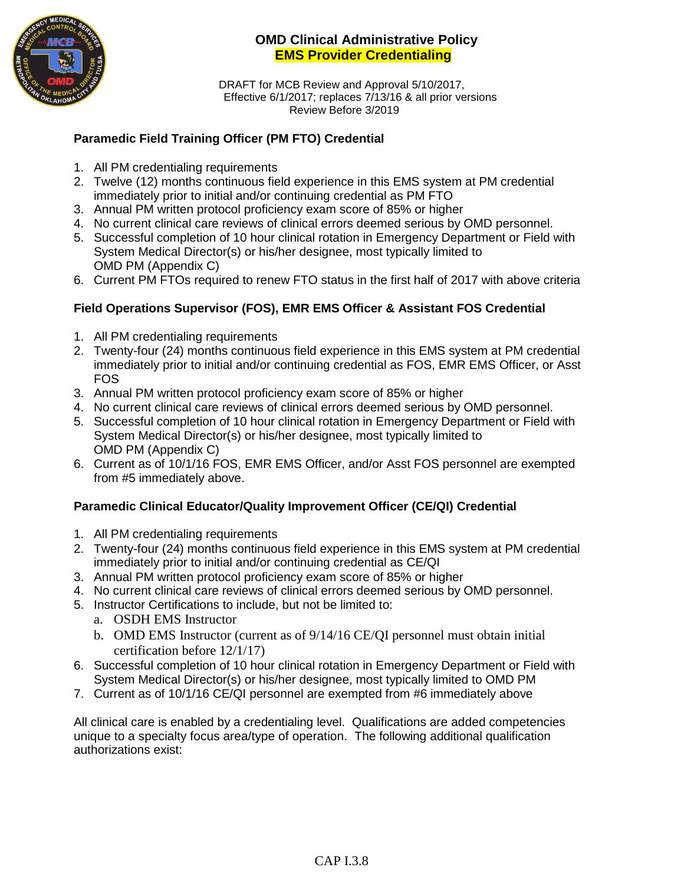

DRAFT for MCB Review and Approval 5/10/2017, Effective 6/1/2017; replaces 7/13/16 & all prior versions Review Before 3/2019

# **Paramedic Field Training Officer (PM FTO) Credential**

- 1. All PM credentialing requirements
- 2. Twelve (12) months continuous field experience in this EMS system at PM credential immediately prior to initial and/or continuing credential as PM FTO
- 3. Annual PM written protocol proficiency exam score of 85% or higher
- 4. No current clinical care reviews of clinical errors deemed serious by OMD personnel.
- 5. Successful completion of 10 hour clinical rotation in Emergency Department or Field with System Medical Director(s) or his/her designee, most typically limited to OMD PM (Appendix C)
- 6. Current PM FTOs required to renew FTO status in the first half of 2017 with above criteria

## **Field Operations Supervisor (FOS), EMR EMS Officer & Assistant FOS Credential**

- 1. All PM credentialing requirements
- 2. Twenty-four (24) months continuous field experience in this EMS system at PM credential immediately prior to initial and/or continuing credential as FOS, EMR EMS Officer, or Asst FOS
- 3. Annual PM written protocol proficiency exam score of 85% or higher
- 4. No current clinical care reviews of clinical errors deemed serious by OMD personnel.
- 5. Successful completion of 10 hour clinical rotation in Emergency Department or Field with System Medical Director(s) or his/her designee, most typically limited to OMD PM (Appendix C)
- 6. Current as of 10/1/16 FOS, EMR EMS Officer, and/or Asst FOS personnel are exempted from #5 immediately above.

## **Paramedic Clinical Educator/Quality Improvement Officer (CE/QI) Credential**

- 1. All PM credentialing requirements
- 2. Twenty-four (24) months continuous field experience in this EMS system at PM credential immediately prior to initial and/or continuing credential as CE/QI
- 3. Annual PM written protocol proficiency exam score of 85% or higher
- 4. No current clinical care reviews of clinical errors deemed serious by OMD personnel.
- 5. Instructor Certifications to include, but not be limited to:
	- a. OSDH EMS Instructor
	- b. OMD EMS Instructor (current as of 9/14/16 CE/QI personnel must obtain initial certification before 12/1/17)
- 6. Successful completion of 10 hour clinical rotation in Emergency Department or Field with System Medical Director(s) or his/her designee, most typically limited to OMD PM
- 7. Current as of 10/1/16 CE/QI personnel are exempted from #6 immediately above

All clinical care is enabled by a credentialing level. Qualifications are added competencies unique to a specialty focus area/type of operation. The following additional qualification authorizations exist: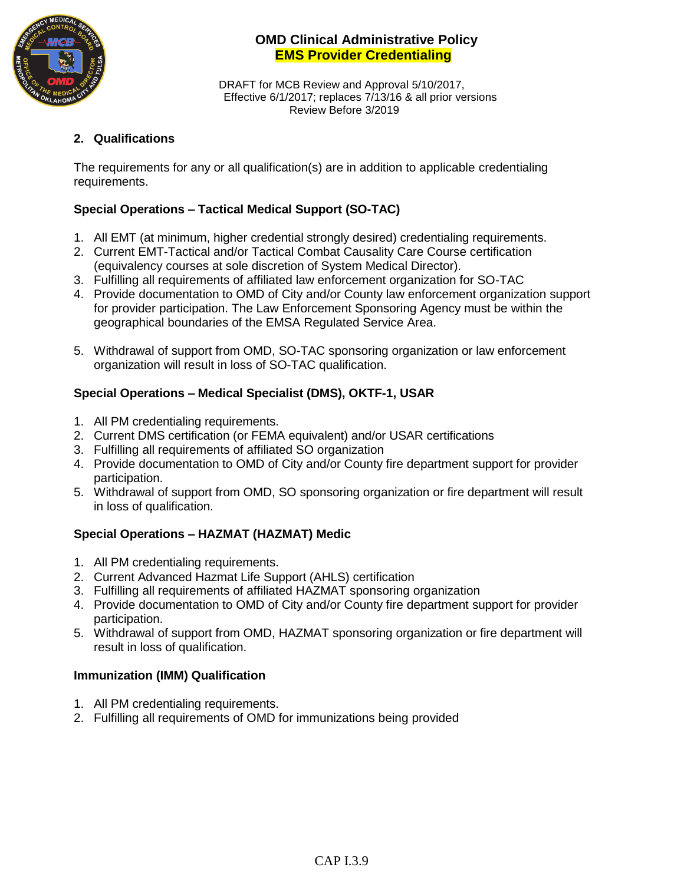

DRAFT for MCB Review and Approval 5/10/2017, Effective 6/1/2017; replaces 7/13/16 & all prior versions Review Before 3/2019

## **2. Qualifications**

The requirements for any or all qualification(s) are in addition to applicable credentialing requirements.

# **Special Operations – Tactical Medical Support (SO-TAC)**

- 1. All EMT (at minimum, higher credential strongly desired) credentialing requirements.
- 2. Current EMT-Tactical and/or Tactical Combat Causality Care Course certification (equivalency courses at sole discretion of System Medical Director).
- 3. Fulfilling all requirements of affiliated law enforcement organization for SO-TAC
- 4. Provide documentation to OMD of City and/or County law enforcement organization support for provider participation. The Law Enforcement Sponsoring Agency must be within the geographical boundaries of the EMSA Regulated Service Area.
- 5. Withdrawal of support from OMD, SO-TAC sponsoring organization or law enforcement organization will result in loss of SO-TAC qualification.

## **Special Operations – Medical Specialist (DMS), OKTF-1, USAR**

- 1. All PM credentialing requirements.
- 2. Current DMS certification (or FEMA equivalent) and/or USAR certifications
- 3. Fulfilling all requirements of affiliated SO organization
- 4. Provide documentation to OMD of City and/or County fire department support for provider participation.
- 5. Withdrawal of support from OMD, SO sponsoring organization or fire department will result in loss of qualification.

## **Special Operations – HAZMAT (HAZMAT) Medic**

- 1. All PM credentialing requirements.
- 2. Current Advanced Hazmat Life Support (AHLS) certification
- 3. Fulfilling all requirements of affiliated HAZMAT sponsoring organization
- 4. Provide documentation to OMD of City and/or County fire department support for provider participation.
- 5. Withdrawal of support from OMD, HAZMAT sponsoring organization or fire department will result in loss of qualification.

## **Immunization (IMM) Qualification**

- 1. All PM credentialing requirements.
- 2. Fulfilling all requirements of OMD for immunizations being provided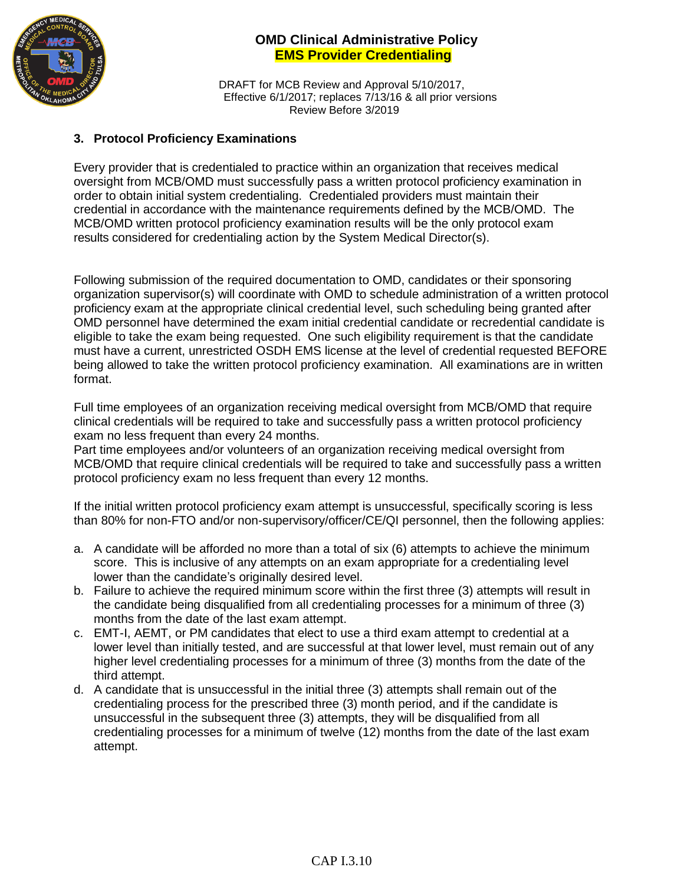

DRAFT for MCB Review and Approval 5/10/2017, Effective 6/1/2017; replaces 7/13/16 & all prior versions Review Before 3/2019

#### **3. Protocol Proficiency Examinations**

Every provider that is credentialed to practice within an organization that receives medical oversight from MCB/OMD must successfully pass a written protocol proficiency examination in order to obtain initial system credentialing. Credentialed providers must maintain their credential in accordance with the maintenance requirements defined by the MCB/OMD. The MCB/OMD written protocol proficiency examination results will be the only protocol exam results considered for credentialing action by the System Medical Director(s).

Following submission of the required documentation to OMD, candidates or their sponsoring organization supervisor(s) will coordinate with OMD to schedule administration of a written protocol proficiency exam at the appropriate clinical credential level, such scheduling being granted after OMD personnel have determined the exam initial credential candidate or recredential candidate is eligible to take the exam being requested. One such eligibility requirement is that the candidate must have a current, unrestricted OSDH EMS license at the level of credential requested BEFORE being allowed to take the written protocol proficiency examination. All examinations are in written format.

Full time employees of an organization receiving medical oversight from MCB/OMD that require clinical credentials will be required to take and successfully pass a written protocol proficiency exam no less frequent than every 24 months.

Part time employees and/or volunteers of an organization receiving medical oversight from MCB/OMD that require clinical credentials will be required to take and successfully pass a written protocol proficiency exam no less frequent than every 12 months.

If the initial written protocol proficiency exam attempt is unsuccessful, specifically scoring is less than 80% for non-FTO and/or non-supervisory/officer/CE/QI personnel, then the following applies:

- a. A candidate will be afforded no more than a total of six (6) attempts to achieve the minimum score. This is inclusive of any attempts on an exam appropriate for a credentialing level lower than the candidate's originally desired level.
- b. Failure to achieve the required minimum score within the first three (3) attempts will result in the candidate being disqualified from all credentialing processes for a minimum of three (3) months from the date of the last exam attempt.
- c. EMT-I, AEMT, or PM candidates that elect to use a third exam attempt to credential at a lower level than initially tested, and are successful at that lower level, must remain out of any higher level credentialing processes for a minimum of three (3) months from the date of the third attempt.
- d. A candidate that is unsuccessful in the initial three (3) attempts shall remain out of the credentialing process for the prescribed three (3) month period, and if the candidate is unsuccessful in the subsequent three (3) attempts, they will be disqualified from all credentialing processes for a minimum of twelve (12) months from the date of the last exam attempt.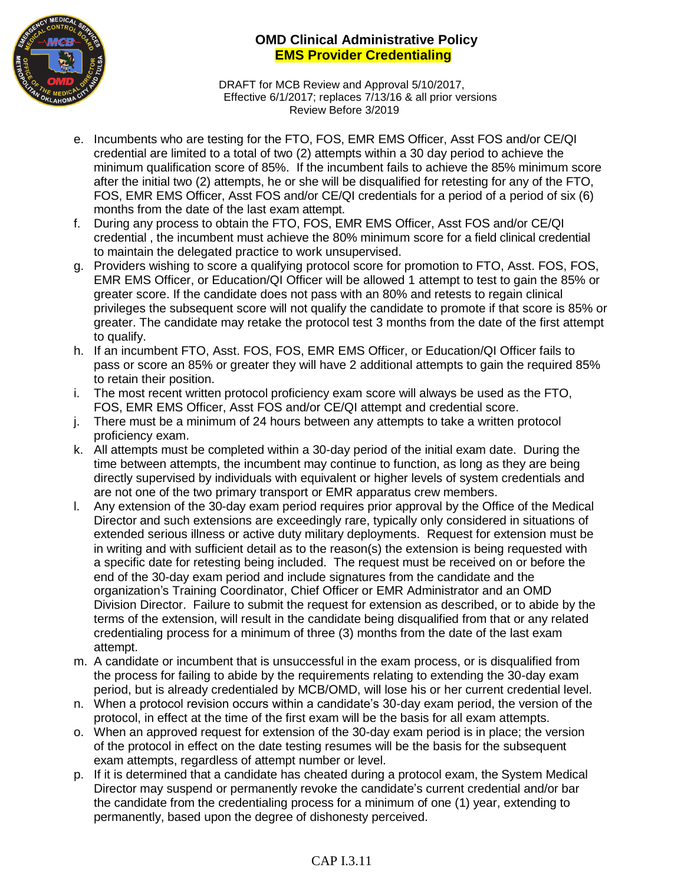

DRAFT for MCB Review and Approval 5/10/2017, Effective 6/1/2017; replaces 7/13/16 & all prior versions Review Before 3/2019

- e. Incumbents who are testing for the FTO, FOS, EMR EMS Officer, Asst FOS and/or CE/QI credential are limited to a total of two (2) attempts within a 30 day period to achieve the minimum qualification score of 85%. If the incumbent fails to achieve the 85% minimum score after the initial two (2) attempts, he or she will be disqualified for retesting for any of the FTO, FOS, EMR EMS Officer, Asst FOS and/or CE/QI credentials for a period of a period of six (6) months from the date of the last exam attempt.
- f. During any process to obtain the FTO, FOS, EMR EMS Officer, Asst FOS and/or CE/QI credential , the incumbent must achieve the 80% minimum score for a field clinical credential to maintain the delegated practice to work unsupervised.
- g. Providers wishing to score a qualifying protocol score for promotion to FTO, Asst. FOS, FOS, EMR EMS Officer, or Education/QI Officer will be allowed 1 attempt to test to gain the 85% or greater score. If the candidate does not pass with an 80% and retests to regain clinical privileges the subsequent score will not qualify the candidate to promote if that score is 85% or greater. The candidate may retake the protocol test 3 months from the date of the first attempt to qualify.
- h. If an incumbent FTO, Asst. FOS, FOS, EMR EMS Officer, or Education/QI Officer fails to pass or score an 85% or greater they will have 2 additional attempts to gain the required 85% to retain their position.
- i. The most recent written protocol proficiency exam score will always be used as the FTO, FOS, EMR EMS Officer, Asst FOS and/or CE/QI attempt and credential score.
- j. There must be a minimum of 24 hours between any attempts to take a written protocol proficiency exam.
- k. All attempts must be completed within a 30-day period of the initial exam date. During the time between attempts, the incumbent may continue to function, as long as they are being directly supervised by individuals with equivalent or higher levels of system credentials and are not one of the two primary transport or EMR apparatus crew members.
- l. Any extension of the 30-day exam period requires prior approval by the Office of the Medical Director and such extensions are exceedingly rare, typically only considered in situations of extended serious illness or active duty military deployments. Request for extension must be in writing and with sufficient detail as to the reason(s) the extension is being requested with a specific date for retesting being included. The request must be received on or before the end of the 30-day exam period and include signatures from the candidate and the organization's Training Coordinator, Chief Officer or EMR Administrator and an OMD Division Director. Failure to submit the request for extension as described, or to abide by the terms of the extension, will result in the candidate being disqualified from that or any related credentialing process for a minimum of three (3) months from the date of the last exam attempt.
- m. A candidate or incumbent that is unsuccessful in the exam process, or is disqualified from the process for failing to abide by the requirements relating to extending the 30-day exam period, but is already credentialed by MCB/OMD, will lose his or her current credential level.
- n. When a protocol revision occurs within a candidate's 30-day exam period, the version of the protocol, in effect at the time of the first exam will be the basis for all exam attempts.
- o. When an approved request for extension of the 30-day exam period is in place; the version of the protocol in effect on the date testing resumes will be the basis for the subsequent exam attempts, regardless of attempt number or level.
- p. If it is determined that a candidate has cheated during a protocol exam, the System Medical Director may suspend or permanently revoke the candidate's current credential and/or bar the candidate from the credentialing process for a minimum of one (1) year, extending to permanently, based upon the degree of dishonesty perceived.

# CAP I.3.11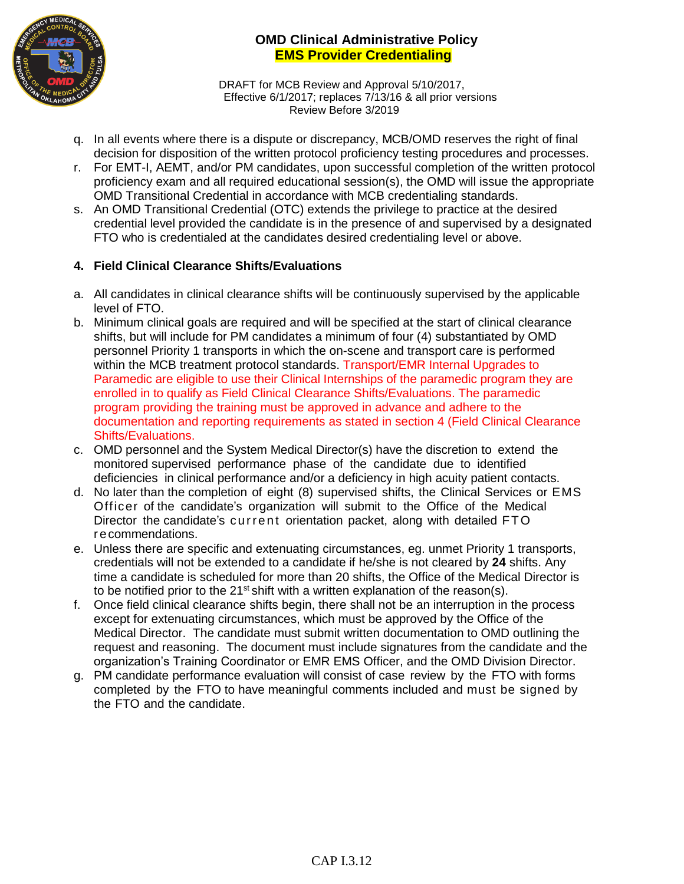

DRAFT for MCB Review and Approval 5/10/2017, Effective 6/1/2017; replaces 7/13/16 & all prior versions Review Before 3/2019

- q. In all events where there is a dispute or discrepancy, MCB/OMD reserves the right of final decision for disposition of the written protocol proficiency testing procedures and processes.
- r. For EMT-I, AEMT, and/or PM candidates, upon successful completion of the written protocol proficiency exam and all required educational session(s), the OMD will issue the appropriate OMD Transitional Credential in accordance with MCB credentialing standards.
- s. An OMD Transitional Credential (OTC) extends the privilege to practice at the desired credential level provided the candidate is in the presence of and supervised by a designated FTO who is credentialed at the candidates desired credentialing level or above.

# **4. Field Clinical Clearance Shifts/Evaluations**

- a. All candidates in clinical clearance shifts will be continuously supervised by the applicable level of FTO.
- b. Minimum clinical goals are required and will be specified at the start of clinical clearance shifts, but will include for PM candidates a minimum of four (4) substantiated by OMD personnel Priority 1 transports in which the on-scene and transport care is performed within the MCB treatment protocol standards. Transport/EMR Internal Upgrades to Paramedic are eligible to use their Clinical Internships of the paramedic program they are enrolled in to qualify as Field Clinical Clearance Shifts/Evaluations. The paramedic program providing the training must be approved in advance and adhere to the documentation and reporting requirements as stated in section 4 (Field Clinical Clearance Shifts/Evaluations.
- c. OMD personnel and the System Medical Director(s) have the discretion to extend the monitored supervised performance phase of the candidate due to identified deficiencies in clinical performance and/or a deficiency in high acuity patient contacts.
- d. No later than the completion of eight (8) supervised shifts, the Clinical Services or EMS Officer of the candidate's organization will submit to the Office of the Medical Director the candidate's current orientation packet, along with detailed FTO r ecommendations.
- e. Unless there are specific and extenuating circumstances, eg. unmet Priority 1 transports, credentials will not be extended to a candidate if he/she is not cleared by **24** shifts. Any time a candidate is scheduled for more than 20 shifts, the Office of the Medical Director is to be notified prior to the  $21<sup>st</sup>$  shift with a written explanation of the reason(s).
- f. Once field clinical clearance shifts begin, there shall not be an interruption in the process except for extenuating circumstances, which must be approved by the Office of the Medical Director. The candidate must submit written documentation to OMD outlining the request and reasoning. The document must include signatures from the candidate and the organization's Training Coordinator or EMR EMS Officer, and the OMD Division Director.
- g. PM candidate performance evaluation will consist of case review by the FTO with forms completed by the FTO to have meaningful comments included and must be signed by the FTO and the candidate.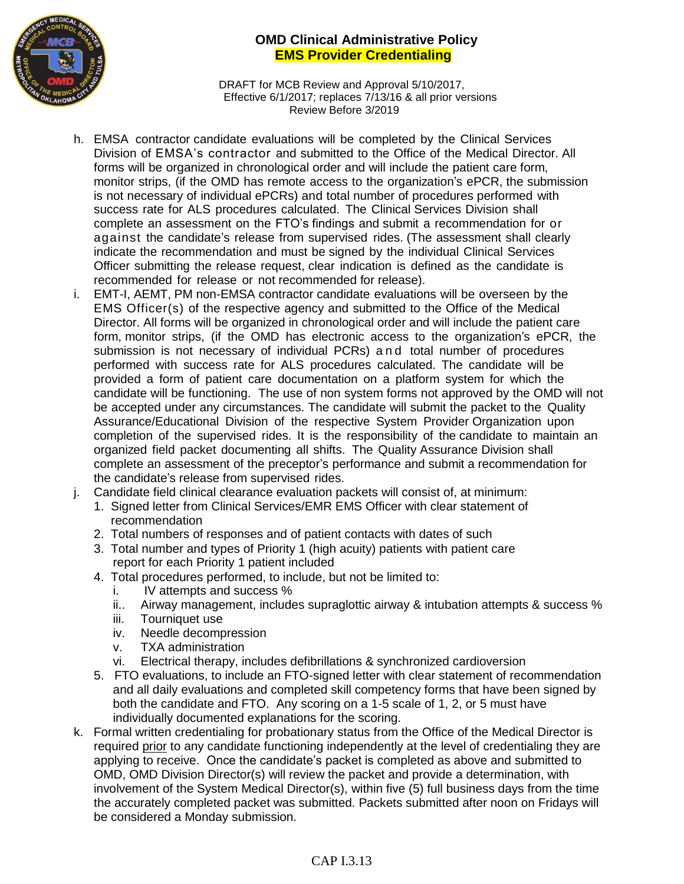

DRAFT for MCB Review and Approval 5/10/2017, Effective 6/1/2017; replaces 7/13/16 & all prior versions Review Before 3/2019

- h. EMSA contractor candidate evaluations will be completed by the Clinical Services Division of EMSA's contractor and submitted to the Office of the Medical Director. All forms will be organized in chronological order and will include the patient care form, monitor strips, (if the OMD has remote access to the organization's ePCR, the submission is not necessary of individual ePCRs) and total number of procedures performed with success rate for ALS procedures calculated. The Clinical Services Division shall complete an assessment on the FTO's findings and submit a recommendation for or against the candidate's release from supervised rides. (The assessment shall clearly indicate the recommendation and must be signed by the individual Clinical Services Officer submitting the release request, clear indication is defined as the candidate is recommended for release or not recommended for release).
- i. EMT-I, AEMT, PM non-EMSA contractor candidate evaluations will be overseen by the EMS Officer(s) of the respective agency and submitted to the Office of the Medical Director. All forms will be organized in chronological order and will include the patient care form, monitor strips, (if the OMD has electronic access to the organization's ePCR, the submission is not necessary of individual PCRs) and total number of procedures performed with success rate for ALS procedures calculated. The candidate will be provided a form of patient care documentation on a platform system for which the candidate will be functioning. The use of non system forms not approved by the OMD will not be accepted under any circumstances. The candidate will submit the packet to the Quality Assurance/Educational Division of the respective System Provider Organization upon completion of the supervised rides. It is the responsibility of the candidate to maintain an organized field packet documenting all shifts. The Quality Assurance Division shall complete an assessment of the preceptor's performance and submit a recommendation for the candidate's release from supervised rides.
- j. Candidate field clinical clearance evaluation packets will consist of, at minimum:
	- 1. Signed letter from Clinical Services/EMR EMS Officer with clear statement of recommendation
	- 2. Total numbers of responses and of patient contacts with dates of such
	- 3. Total number and types of Priority 1 (high acuity) patients with patient care report for each Priority 1 patient included
	- 4. Total procedures performed, to include, but not be limited to:
		- i. IV attempts and success %
		- ii.. Airway management, includes supraglottic airway & intubation attempts & success %
		- iii. Tourniquet use
		- iv. Needle decompression
		- v. TXA administration
		- vi. Electrical therapy, includes defibrillations & synchronized cardioversion
	- 5. FTO evaluations, to include an FTO-signed letter with clear statement of recommendation and all daily evaluations and completed skill competency forms that have been signed by both the candidate and FTO. Any scoring on a 1-5 scale of 1, 2, or 5 must have individually documented explanations for the scoring.
- k. Formal written credentialing for probationary status from the Office of the Medical Director is required prior to any candidate functioning independently at the level of credentialing they are applying to receive. Once the candidate's packet is completed as above and submitted to OMD, OMD Division Director(s) will review the packet and provide a determination, with involvement of the System Medical Director(s), within five (5) full business days from the time the accurately completed packet was submitted. Packets submitted after noon on Fridays will be considered a Monday submission.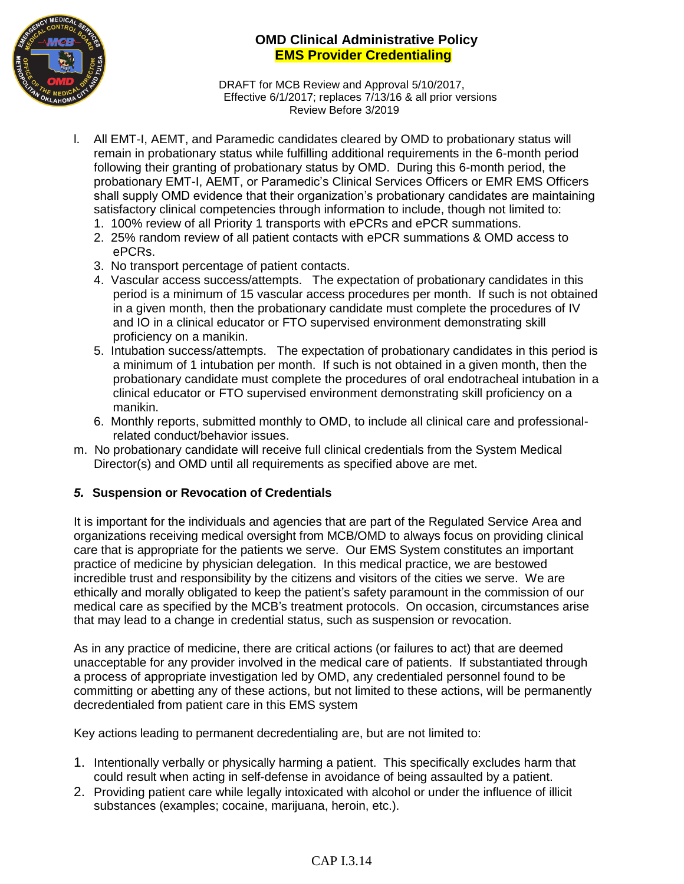

DRAFT for MCB Review and Approval 5/10/2017, Effective 6/1/2017; replaces 7/13/16 & all prior versions Review Before 3/2019

- l. All EMT-I, AEMT, and Paramedic candidates cleared by OMD to probationary status will remain in probationary status while fulfilling additional requirements in the 6-month period following their granting of probationary status by OMD. During this 6-month period, the probationary EMT-I, AEMT, or Paramedic's Clinical Services Officers or EMR EMS Officers shall supply OMD evidence that their organization's probationary candidates are maintaining satisfactory clinical competencies through information to include, though not limited to:
	- 1. 100% review of all Priority 1 transports with ePCRs and ePCR summations.
	- 2. 25% random review of all patient contacts with ePCR summations & OMD access to ePCRs.
	- 3. No transport percentage of patient contacts.
	- 4. Vascular access success/attempts. The expectation of probationary candidates in this period is a minimum of 15 vascular access procedures per month. If such is not obtained in a given month, then the probationary candidate must complete the procedures of IV and IO in a clinical educator or FTO supervised environment demonstrating skill proficiency on a manikin.
	- 5. Intubation success/attempts. The expectation of probationary candidates in this period is a minimum of 1 intubation per month. If such is not obtained in a given month, then the probationary candidate must complete the procedures of oral endotracheal intubation in a clinical educator or FTO supervised environment demonstrating skill proficiency on a manikin.
	- 6. Monthly reports, submitted monthly to OMD, to include all clinical care and professionalrelated conduct/behavior issues.
- m. No probationary candidate will receive full clinical credentials from the System Medical Director(s) and OMD until all requirements as specified above are met.

## *5.* **Suspension or Revocation of Credentials**

It is important for the individuals and agencies that are part of the Regulated Service Area and organizations receiving medical oversight from MCB/OMD to always focus on providing clinical care that is appropriate for the patients we serve. Our EMS System constitutes an important practice of medicine by physician delegation. In this medical practice, we are bestowed incredible trust and responsibility by the citizens and visitors of the cities we serve. We are ethically and morally obligated to keep the patient's safety paramount in the commission of our medical care as specified by the MCB's treatment protocols. On occasion, circumstances arise that may lead to a change in credential status, such as suspension or revocation.

As in any practice of medicine, there are critical actions (or failures to act) that are deemed unacceptable for any provider involved in the medical care of patients. If substantiated through a process of appropriate investigation led by OMD, any credentialed personnel found to be committing or abetting any of these actions, but not limited to these actions, will be permanently decredentialed from patient care in this EMS system

Key actions leading to permanent decredentialing are, but are not limited to:

- 1. Intentionally verbally or physically harming a patient. This specifically excludes harm that could result when acting in self-defense in avoidance of being assaulted by a patient.
- 2. Providing patient care while legally intoxicated with alcohol or under the influence of illicit substances (examples; cocaine, marijuana, heroin, etc.).

## CAP I.3.14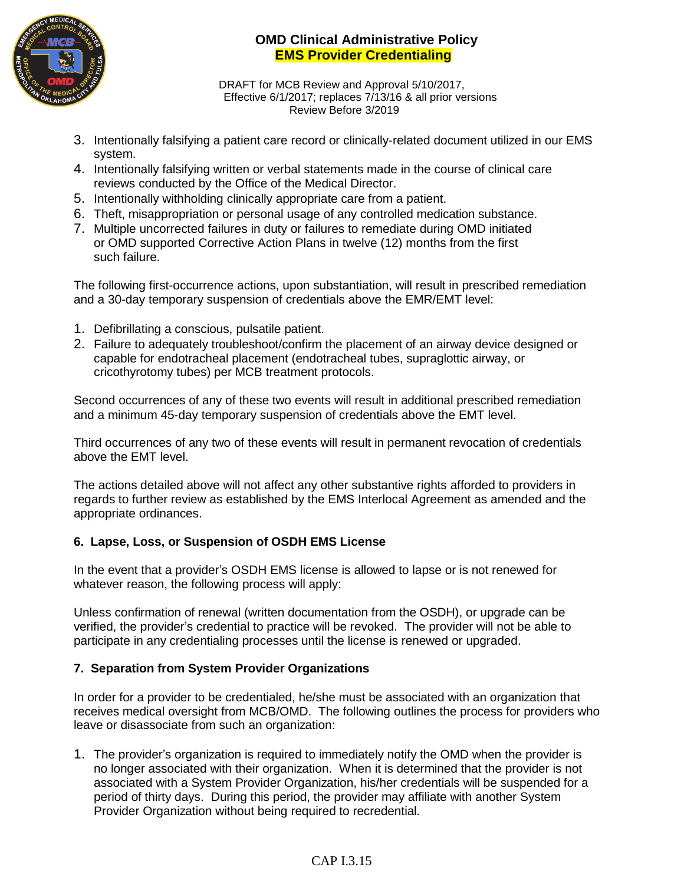

DRAFT for MCB Review and Approval 5/10/2017, Effective 6/1/2017; replaces 7/13/16 & all prior versions Review Before 3/2019

- 3. Intentionally falsifying a patient care record or clinically-related document utilized in our EMS system.
- 4. Intentionally falsifying written or verbal statements made in the course of clinical care reviews conducted by the Office of the Medical Director.
- 5. Intentionally withholding clinically appropriate care from a patient.
- 6. Theft, misappropriation or personal usage of any controlled medication substance.
- 7. Multiple uncorrected failures in duty or failures to remediate during OMD initiated or OMD supported Corrective Action Plans in twelve (12) months from the first such failure.

The following first-occurrence actions, upon substantiation, will result in prescribed remediation and a 30-day temporary suspension of credentials above the EMR/EMT level:

- 1. Defibrillating a conscious, pulsatile patient.
- 2. Failure to adequately troubleshoot/confirm the placement of an airway device designed or capable for endotracheal placement (endotracheal tubes, supraglottic airway, or cricothyrotomy tubes) per MCB treatment protocols.

Second occurrences of any of these two events will result in additional prescribed remediation and a minimum 45-day temporary suspension of credentials above the EMT level.

Third occurrences of any two of these events will result in permanent revocation of credentials above the EMT level.

The actions detailed above will not affect any other substantive rights afforded to providers in regards to further review as established by the EMS Interlocal Agreement as amended and the appropriate ordinances.

## **6. Lapse, Loss, or Suspension of OSDH EMS License**

In the event that a provider's OSDH EMS license is allowed to lapse or is not renewed for whatever reason, the following process will apply:

Unless confirmation of renewal (written documentation from the OSDH), or upgrade can be verified, the provider's credential to practice will be revoked. The provider will not be able to participate in any credentialing processes until the license is renewed or upgraded.

## **7. Separation from System Provider Organizations**

In order for a provider to be credentialed, he/she must be associated with an organization that receives medical oversight from MCB/OMD. The following outlines the process for providers who leave or disassociate from such an organization:

1. The provider's organization is required to immediately notify the OMD when the provider is no longer associated with their organization. When it is determined that the provider is not associated with a System Provider Organization, his/her credentials will be suspended for a period of thirty days. During this period, the provider may affiliate with another System Provider Organization without being required to recredential.

## CAP I.3.15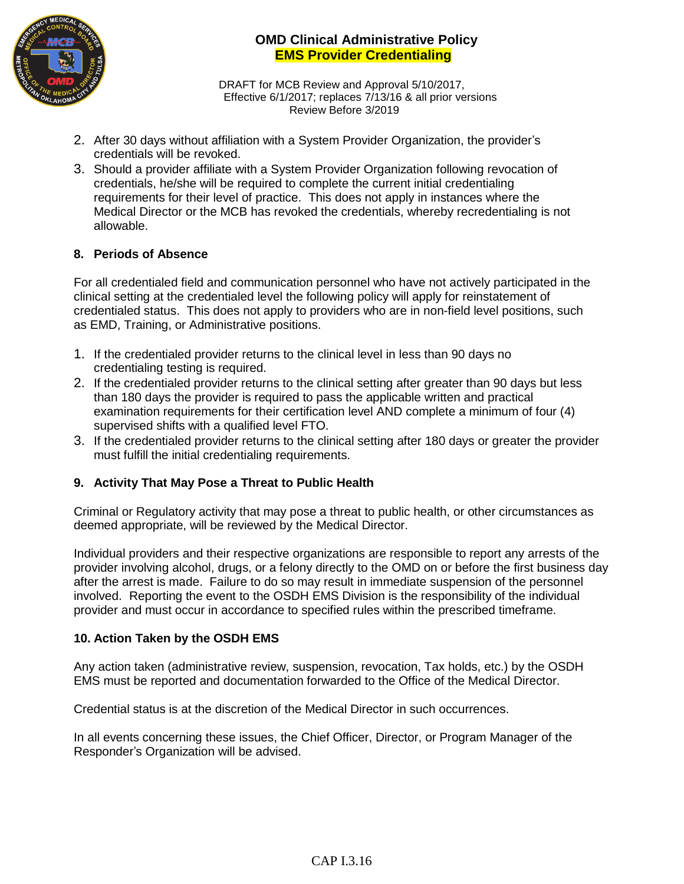

DRAFT for MCB Review and Approval 5/10/2017, Effective 6/1/2017; replaces 7/13/16 & all prior versions Review Before 3/2019

- 2. After 30 days without affiliation with a System Provider Organization, the provider's credentials will be revoked.
- 3. Should a provider affiliate with a System Provider Organization following revocation of credentials, he/she will be required to complete the current initial credentialing requirements for their level of practice. This does not apply in instances where the Medical Director or the MCB has revoked the credentials, whereby recredentialing is not allowable.

## **8. Periods of Absence**

For all credentialed field and communication personnel who have not actively participated in the clinical setting at the credentialed level the following policy will apply for reinstatement of credentialed status. This does not apply to providers who are in non-field level positions, such as EMD, Training, or Administrative positions.

- 1. If the credentialed provider returns to the clinical level in less than 90 days no credentialing testing is required.
- 2. If the credentialed provider returns to the clinical setting after greater than 90 days but less than 180 days the provider is required to pass the applicable written and practical examination requirements for their certification level AND complete a minimum of four (4) supervised shifts with a qualified level FTO.
- 3. If the credentialed provider returns to the clinical setting after 180 days or greater the provider must fulfill the initial credentialing requirements.

## **9. Activity That May Pose a Threat to Public Health**

Criminal or Regulatory activity that may pose a threat to public health, or other circumstances as deemed appropriate, will be reviewed by the Medical Director.

Individual providers and their respective organizations are responsible to report any arrests of the provider involving alcohol, drugs, or a felony directly to the OMD on or before the first business day after the arrest is made. Failure to do so may result in immediate suspension of the personnel involved. Reporting the event to the OSDH EMS Division is the responsibility of the individual provider and must occur in accordance to specified rules within the prescribed timeframe.

#### **10. Action Taken by the OSDH EMS**

Any action taken (administrative review, suspension, revocation, Tax holds, etc.) by the OSDH EMS must be reported and documentation forwarded to the Office of the Medical Director.

Credential status is at the discretion of the Medical Director in such occurrences.

In all events concerning these issues, the Chief Officer, Director, or Program Manager of the Responder's Organization will be advised.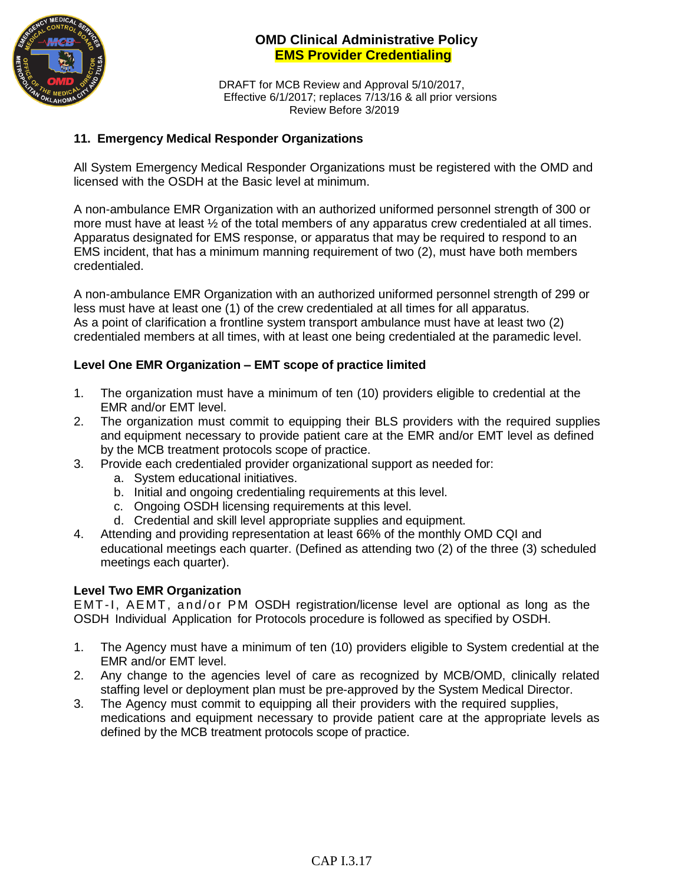

DRAFT for MCB Review and Approval 5/10/2017, Effective 6/1/2017; replaces 7/13/16 & all prior versions Review Before 3/2019

#### **11. Emergency Medical Responder Organizations**

All System Emergency Medical Responder Organizations must be registered with the OMD and licensed with the OSDH at the Basic level at minimum.

A non-ambulance EMR Organization with an authorized uniformed personnel strength of 300 or more must have at least ½ of the total members of any apparatus crew credentialed at all times. Apparatus designated for EMS response, or apparatus that may be required to respond to an EMS incident, that has a minimum manning requirement of two (2), must have both members credentialed.

A non-ambulance EMR Organization with an authorized uniformed personnel strength of 299 or less must have at least one (1) of the crew credentialed at all times for all apparatus. As a point of clarification a frontline system transport ambulance must have at least two (2) credentialed members at all times, with at least one being credentialed at the paramedic level.

#### **Level One EMR Organization – EMT scope of practice limited**

- 1. The organization must have a minimum of ten (10) providers eligible to credential at the EMR and/or EMT level.
- 2. The organization must commit to equipping their BLS providers with the required supplies and equipment necessary to provide patient care at the EMR and/or EMT level as defined by the MCB treatment protocols scope of practice.
- 3. Provide each credentialed provider organizational support as needed for:
	- a. System educational initiatives.
	- b. Initial and ongoing credentialing requirements at this level.
	- c. Ongoing OSDH licensing requirements at this level.
	- d. Credential and skill level appropriate supplies and equipment.
- 4. Attending and providing representation at least 66% of the monthly OMD CQI and educational meetings each quarter. (Defined as attending two (2) of the three (3) scheduled meetings each quarter).

#### **Level Two EMR Organization**

EMT-I, AEMT, and/or PM OSDH registration/license level are optional as long as the OSDH Individual Application for Protocols procedure is followed as specified by OSDH.

- 1. The Agency must have a minimum of ten (10) providers eligible to System credential at the EMR and/or EMT level.
- 2. Any change to the agencies level of care as recognized by MCB/OMD, clinically related staffing level or deployment plan must be pre-approved by the System Medical Director.
- 3. The Agency must commit to equipping all their providers with the required supplies, medications and equipment necessary to provide patient care at the appropriate levels as defined by the MCB treatment protocols scope of practice.